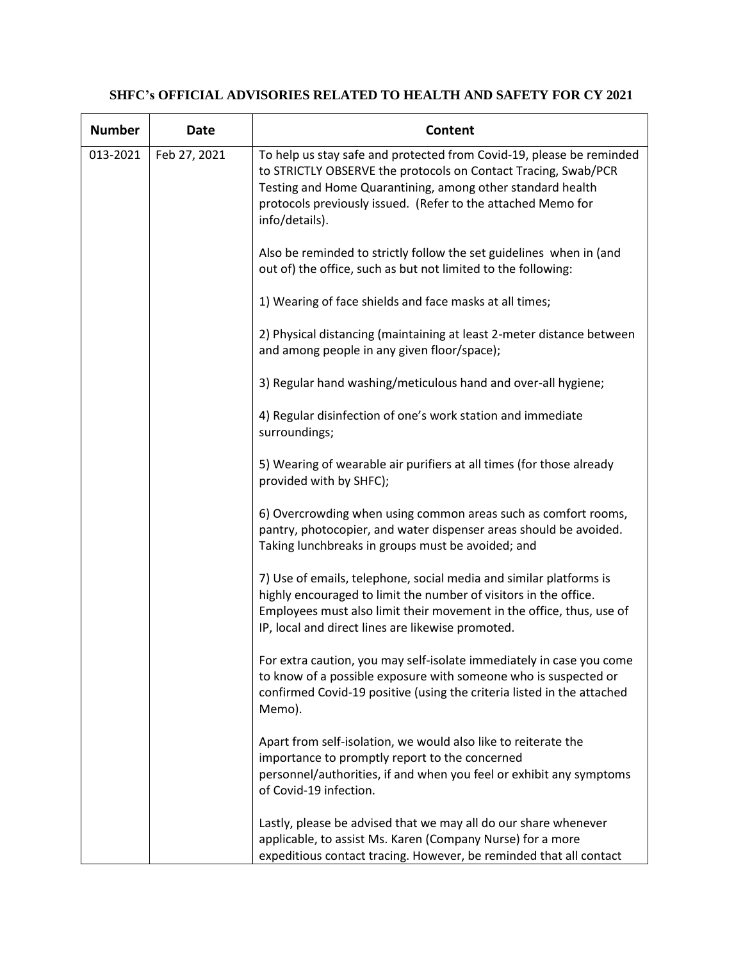## **SHFC's OFFICIAL ADVISORIES RELATED TO HEALTH AND SAFETY FOR CY 2021**

| <b>Number</b> | <b>Date</b>  | Content                                                                                                                                                                                                                                                                                |
|---------------|--------------|----------------------------------------------------------------------------------------------------------------------------------------------------------------------------------------------------------------------------------------------------------------------------------------|
| 013-2021      | Feb 27, 2021 | To help us stay safe and protected from Covid-19, please be reminded<br>to STRICTLY OBSERVE the protocols on Contact Tracing, Swab/PCR<br>Testing and Home Quarantining, among other standard health<br>protocols previously issued. (Refer to the attached Memo for<br>info/details). |
|               |              | Also be reminded to strictly follow the set guidelines when in (and<br>out of) the office, such as but not limited to the following:                                                                                                                                                   |
|               |              | 1) Wearing of face shields and face masks at all times;                                                                                                                                                                                                                                |
|               |              | 2) Physical distancing (maintaining at least 2-meter distance between<br>and among people in any given floor/space);                                                                                                                                                                   |
|               |              | 3) Regular hand washing/meticulous hand and over-all hygiene;                                                                                                                                                                                                                          |
|               |              | 4) Regular disinfection of one's work station and immediate<br>surroundings;                                                                                                                                                                                                           |
|               |              | 5) Wearing of wearable air purifiers at all times (for those already<br>provided with by SHFC);                                                                                                                                                                                        |
|               |              | 6) Overcrowding when using common areas such as comfort rooms,<br>pantry, photocopier, and water dispenser areas should be avoided.<br>Taking lunchbreaks in groups must be avoided; and                                                                                               |
|               |              | 7) Use of emails, telephone, social media and similar platforms is<br>highly encouraged to limit the number of visitors in the office.<br>Employees must also limit their movement in the office, thus, use of<br>IP, local and direct lines are likewise promoted.                    |
|               |              | For extra caution, you may self-isolate immediately in case you come<br>to know of a possible exposure with someone who is suspected or<br>confirmed Covid-19 positive (using the criteria listed in the attached<br>Memo).                                                            |
|               |              | Apart from self-isolation, we would also like to reiterate the<br>importance to promptly report to the concerned<br>personnel/authorities, if and when you feel or exhibit any symptoms<br>of Covid-19 infection.                                                                      |
|               |              | Lastly, please be advised that we may all do our share whenever<br>applicable, to assist Ms. Karen (Company Nurse) for a more<br>expeditious contact tracing. However, be reminded that all contact                                                                                    |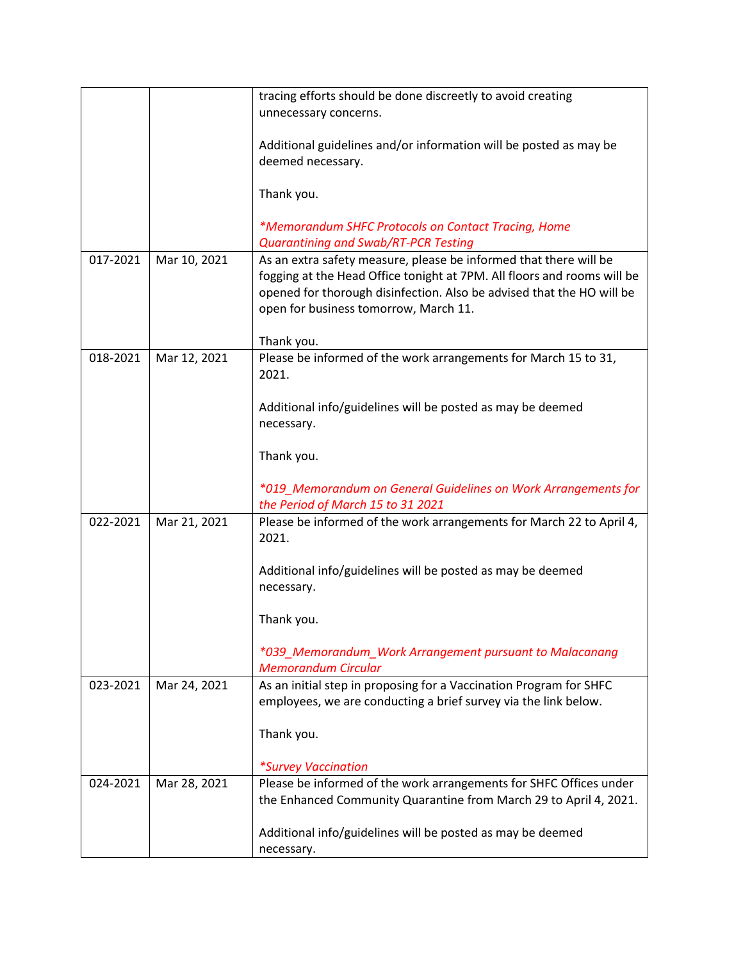|          |              | tracing efforts should be done discreetly to avoid creating                   |
|----------|--------------|-------------------------------------------------------------------------------|
|          |              | unnecessary concerns.                                                         |
|          |              |                                                                               |
|          |              | Additional guidelines and/or information will be posted as may be             |
|          |              | deemed necessary.                                                             |
|          |              |                                                                               |
|          |              | Thank you.                                                                    |
|          |              | *Memorandum SHFC Protocols on Contact Tracing, Home                           |
|          |              | <b>Quarantining and Swab/RT-PCR Testing</b>                                   |
| 017-2021 | Mar 10, 2021 | As an extra safety measure, please be informed that there will be             |
|          |              | fogging at the Head Office tonight at 7PM. All floors and rooms will be       |
|          |              | opened for thorough disinfection. Also be advised that the HO will be         |
|          |              | open for business tomorrow, March 11.                                         |
|          |              |                                                                               |
|          |              | Thank you.                                                                    |
| 018-2021 | Mar 12, 2021 | Please be informed of the work arrangements for March 15 to 31,               |
|          |              | 2021.                                                                         |
|          |              |                                                                               |
|          |              | Additional info/guidelines will be posted as may be deemed                    |
|          |              | necessary.                                                                    |
|          |              |                                                                               |
|          |              | Thank you.                                                                    |
|          |              |                                                                               |
|          |              | *019_Memorandum on General Guidelines on Work Arrangements for                |
| 022-2021 |              | the Period of March 15 to 31 2021                                             |
|          | Mar 21, 2021 | Please be informed of the work arrangements for March 22 to April 4,<br>2021. |
|          |              |                                                                               |
|          |              | Additional info/guidelines will be posted as may be deemed                    |
|          |              | necessary.                                                                    |
|          |              |                                                                               |
|          |              | Thank you.                                                                    |
|          |              |                                                                               |
|          |              | *039_Memorandum_Work Arrangement pursuant to Malacanang                       |
|          |              | <b>Memorandum Circular</b>                                                    |
| 023-2021 | Mar 24, 2021 | As an initial step in proposing for a Vaccination Program for SHFC            |
|          |              | employees, we are conducting a brief survey via the link below.               |
|          |              |                                                                               |
|          |              | Thank you.                                                                    |
|          |              |                                                                               |
|          |              | <i>*Survey Vaccination</i>                                                    |
| 024-2021 | Mar 28, 2021 | Please be informed of the work arrangements for SHFC Offices under            |
|          |              | the Enhanced Community Quarantine from March 29 to April 4, 2021.             |
|          |              |                                                                               |
|          |              | Additional info/guidelines will be posted as may be deemed                    |
|          |              | necessary.                                                                    |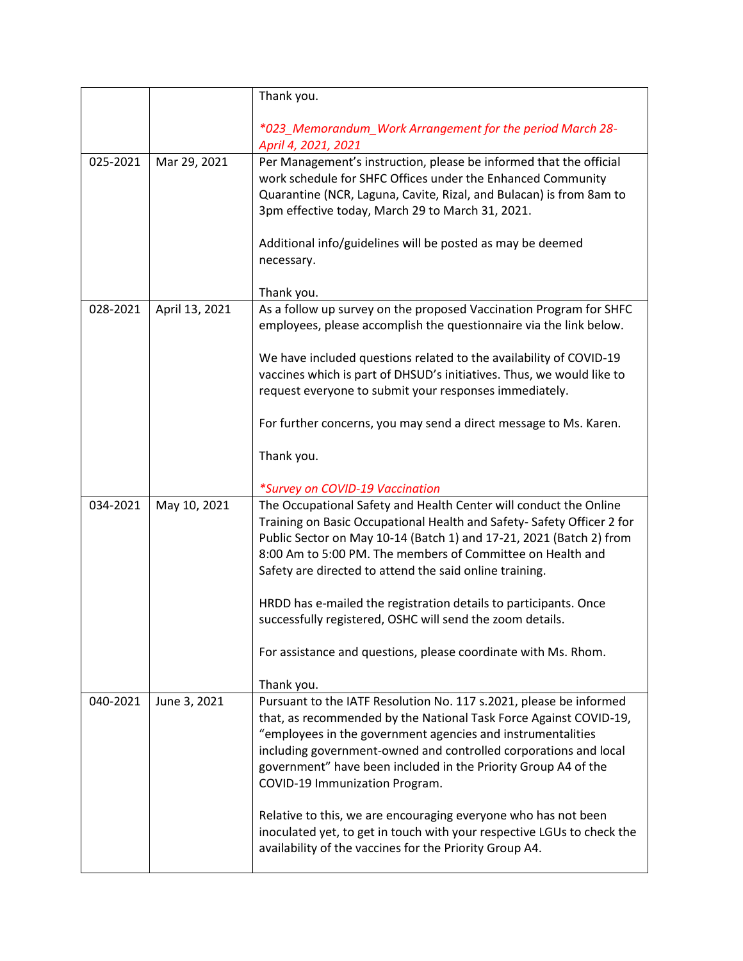|          |                | Thank you.                                                                                                                                                                                                                                                                                                                                                                                   |
|----------|----------------|----------------------------------------------------------------------------------------------------------------------------------------------------------------------------------------------------------------------------------------------------------------------------------------------------------------------------------------------------------------------------------------------|
|          |                | *023_Memorandum_Work Arrangement for the period March 28-<br>April 4, 2021, 2021                                                                                                                                                                                                                                                                                                             |
| 025-2021 | Mar 29, 2021   | Per Management's instruction, please be informed that the official<br>work schedule for SHFC Offices under the Enhanced Community<br>Quarantine (NCR, Laguna, Cavite, Rizal, and Bulacan) is from 8am to<br>3pm effective today, March 29 to March 31, 2021.<br>Additional info/guidelines will be posted as may be deemed                                                                   |
|          |                | necessary.                                                                                                                                                                                                                                                                                                                                                                                   |
|          |                | Thank you.                                                                                                                                                                                                                                                                                                                                                                                   |
| 028-2021 | April 13, 2021 | As a follow up survey on the proposed Vaccination Program for SHFC<br>employees, please accomplish the questionnaire via the link below.                                                                                                                                                                                                                                                     |
|          |                | We have included questions related to the availability of COVID-19<br>vaccines which is part of DHSUD's initiatives. Thus, we would like to<br>request everyone to submit your responses immediately.                                                                                                                                                                                        |
|          |                | For further concerns, you may send a direct message to Ms. Karen.                                                                                                                                                                                                                                                                                                                            |
|          |                | Thank you.                                                                                                                                                                                                                                                                                                                                                                                   |
|          |                | *Survey on COVID-19 Vaccination                                                                                                                                                                                                                                                                                                                                                              |
| 034-2021 | May 10, 2021   | The Occupational Safety and Health Center will conduct the Online<br>Training on Basic Occupational Health and Safety-Safety Officer 2 for<br>Public Sector on May 10-14 (Batch 1) and 17-21, 2021 (Batch 2) from<br>8:00 Am to 5:00 PM. The members of Committee on Health and<br>Safety are directed to attend the said online training.                                                   |
|          |                | HRDD has e-mailed the registration details to participants. Once<br>successfully registered, OSHC will send the zoom details.                                                                                                                                                                                                                                                                |
|          |                | For assistance and questions, please coordinate with Ms. Rhom.                                                                                                                                                                                                                                                                                                                               |
| 040-2021 | June 3, 2021   | Thank you.<br>Pursuant to the IATF Resolution No. 117 s.2021, please be informed<br>that, as recommended by the National Task Force Against COVID-19,<br>"employees in the government agencies and instrumentalities<br>including government-owned and controlled corporations and local<br>government" have been included in the Priority Group A4 of the<br>COVID-19 Immunization Program. |
|          |                | Relative to this, we are encouraging everyone who has not been<br>inoculated yet, to get in touch with your respective LGUs to check the<br>availability of the vaccines for the Priority Group A4.                                                                                                                                                                                          |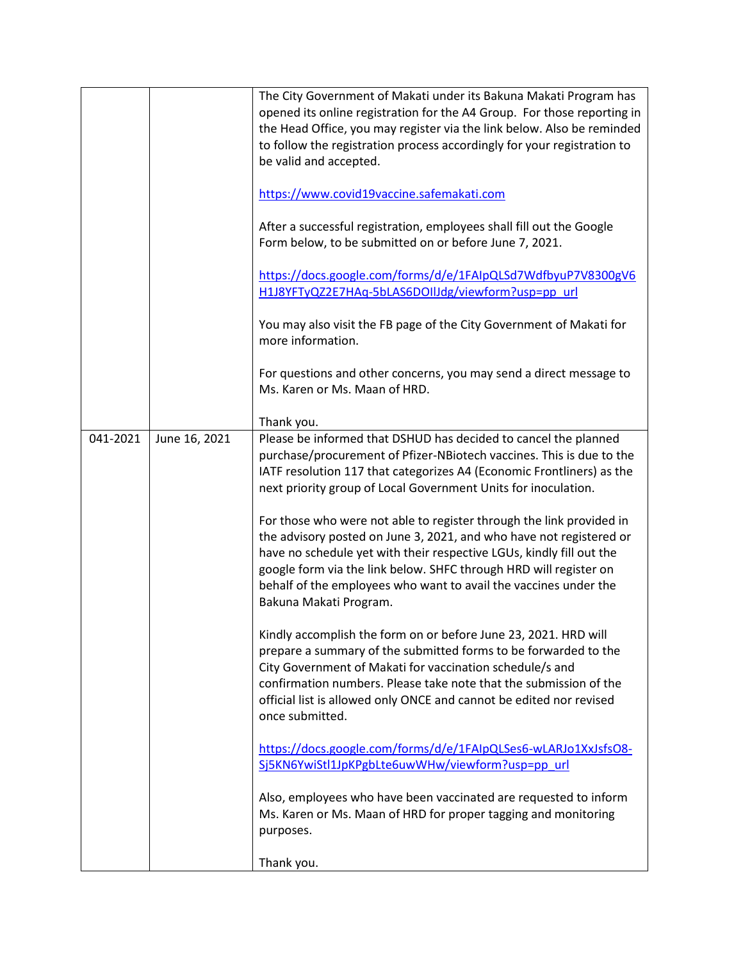|          |               | The City Government of Makati under its Bakuna Makati Program has<br>opened its online registration for the A4 Group. For those reporting in<br>the Head Office, you may register via the link below. Also be reminded<br>to follow the registration process accordingly for your registration to<br>be valid and accepted.<br>https://www.covid19vaccine.safemakati.com<br>After a successful registration, employees shall fill out the Google<br>Form below, to be submitted on or before June 7, 2021.<br>https://docs.google.com/forms/d/e/1FAIpQLSd7WdfbyuP7V8300gV6<br>H1J8YFTyQZ2E7HAq-5bLAS6DOIIJdg/viewform?usp=pp_url<br>You may also visit the FB page of the City Government of Makati for<br>more information.<br>For questions and other concerns, you may send a direct message to<br>Ms. Karen or Ms. Maan of HRD.<br>Thank you. |
|----------|---------------|---------------------------------------------------------------------------------------------------------------------------------------------------------------------------------------------------------------------------------------------------------------------------------------------------------------------------------------------------------------------------------------------------------------------------------------------------------------------------------------------------------------------------------------------------------------------------------------------------------------------------------------------------------------------------------------------------------------------------------------------------------------------------------------------------------------------------------------------------|
| 041-2021 | June 16, 2021 | Please be informed that DSHUD has decided to cancel the planned<br>purchase/procurement of Pfizer-NBiotech vaccines. This is due to the<br>IATF resolution 117 that categorizes A4 (Economic Frontliners) as the<br>next priority group of Local Government Units for inoculation.<br>For those who were not able to register through the link provided in<br>the advisory posted on June 3, 2021, and who have not registered or<br>have no schedule yet with their respective LGUs, kindly fill out the<br>google form via the link below. SHFC through HRD will register on<br>behalf of the employees who want to avail the vaccines under the                                                                                                                                                                                                |
|          |               | Bakuna Makati Program.<br>Kindly accomplish the form on or before June 23, 2021. HRD will<br>prepare a summary of the submitted forms to be forwarded to the<br>City Government of Makati for vaccination schedule/s and<br>confirmation numbers. Please take note that the submission of the<br>official list is allowed only ONCE and cannot be edited nor revised<br>once submitted.                                                                                                                                                                                                                                                                                                                                                                                                                                                           |
|          |               | https://docs.google.com/forms/d/e/1FAIpQLSes6-wLARJo1XxJsfsO8-<br>Sj5KN6YwiStl1JpKPgbLte6uwWHw/viewform?usp=pp_url<br>Also, employees who have been vaccinated are requested to inform<br>Ms. Karen or Ms. Maan of HRD for proper tagging and monitoring<br>purposes.                                                                                                                                                                                                                                                                                                                                                                                                                                                                                                                                                                             |
|          |               | Thank you.                                                                                                                                                                                                                                                                                                                                                                                                                                                                                                                                                                                                                                                                                                                                                                                                                                        |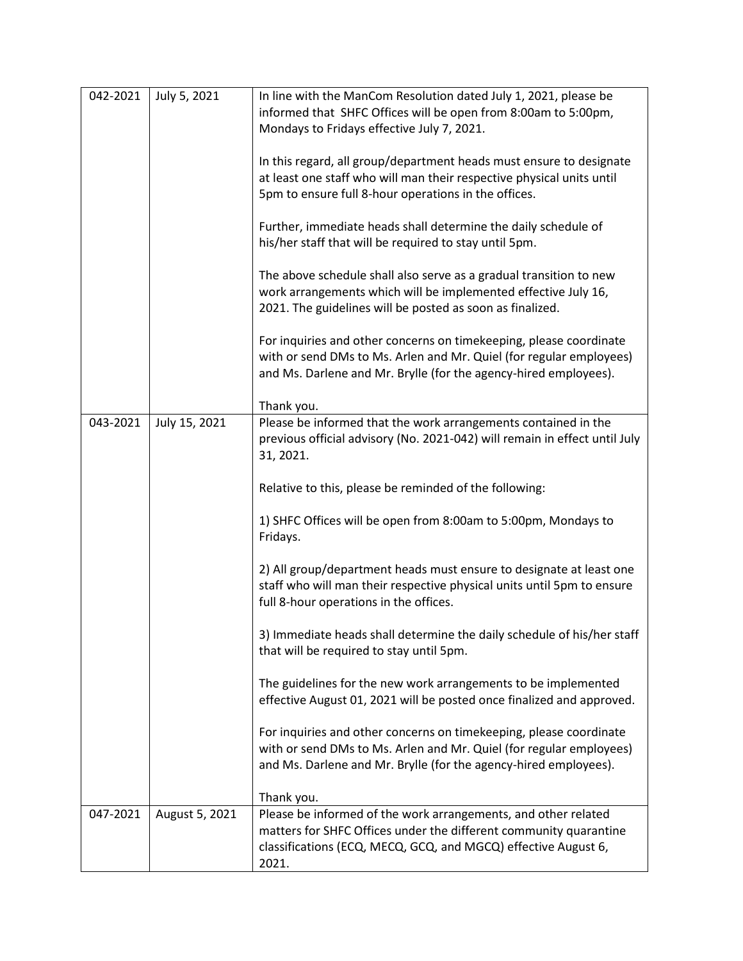| 042-2021 | July 5, 2021   | In line with the ManCom Resolution dated July 1, 2021, please be<br>informed that SHFC Offices will be open from 8:00am to 5:00pm,<br>Mondays to Fridays effective July 7, 2021.                               |
|----------|----------------|----------------------------------------------------------------------------------------------------------------------------------------------------------------------------------------------------------------|
|          |                | In this regard, all group/department heads must ensure to designate<br>at least one staff who will man their respective physical units until<br>5pm to ensure full 8-hour operations in the offices.           |
|          |                | Further, immediate heads shall determine the daily schedule of<br>his/her staff that will be required to stay until 5pm.                                                                                       |
|          |                | The above schedule shall also serve as a gradual transition to new<br>work arrangements which will be implemented effective July 16,<br>2021. The guidelines will be posted as soon as finalized.              |
|          |                | For inquiries and other concerns on timekeeping, please coordinate<br>with or send DMs to Ms. Arlen and Mr. Quiel (for regular employees)<br>and Ms. Darlene and Mr. Brylle (for the agency-hired employees).  |
|          |                | Thank you.                                                                                                                                                                                                     |
| 043-2021 | July 15, 2021  | Please be informed that the work arrangements contained in the<br>previous official advisory (No. 2021-042) will remain in effect until July<br>31, 2021.                                                      |
|          |                | Relative to this, please be reminded of the following:                                                                                                                                                         |
|          |                | 1) SHFC Offices will be open from 8:00am to 5:00pm, Mondays to<br>Fridays.                                                                                                                                     |
|          |                | 2) All group/department heads must ensure to designate at least one<br>staff who will man their respective physical units until 5pm to ensure<br>full 8-hour operations in the offices.                        |
|          |                | 3) Immediate heads shall determine the daily schedule of his/her staff<br>that will be required to stay until 5pm.                                                                                             |
|          |                | The guidelines for the new work arrangements to be implemented<br>effective August 01, 2021 will be posted once finalized and approved.                                                                        |
|          |                | For inquiries and other concerns on timekeeping, please coordinate<br>with or send DMs to Ms. Arlen and Mr. Quiel (for regular employees)<br>and Ms. Darlene and Mr. Brylle (for the agency-hired employees).  |
|          |                | Thank you.                                                                                                                                                                                                     |
| 047-2021 | August 5, 2021 | Please be informed of the work arrangements, and other related<br>matters for SHFC Offices under the different community quarantine<br>classifications (ECQ, MECQ, GCQ, and MGCQ) effective August 6,<br>2021. |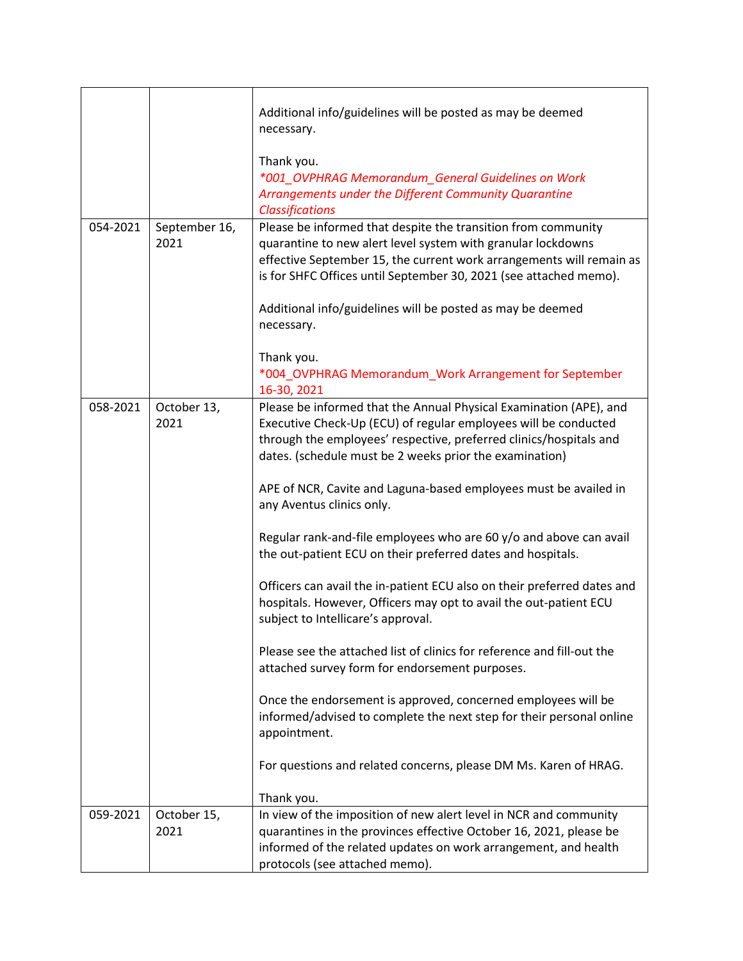|          |                       | Additional info/guidelines will be posted as may be deemed<br>necessary.<br>Thank you.<br>*001_OVPHRAG Memorandum_General Guidelines on Work<br>Arrangements under the Different Community Quarantine                                                                                                                                                                                                                                                                                                                                                                                                                                                                                                                                                                                                                                                                                                                                                                                                                                                                      |
|----------|-----------------------|----------------------------------------------------------------------------------------------------------------------------------------------------------------------------------------------------------------------------------------------------------------------------------------------------------------------------------------------------------------------------------------------------------------------------------------------------------------------------------------------------------------------------------------------------------------------------------------------------------------------------------------------------------------------------------------------------------------------------------------------------------------------------------------------------------------------------------------------------------------------------------------------------------------------------------------------------------------------------------------------------------------------------------------------------------------------------|
| 054-2021 | September 16,<br>2021 | <b>Classifications</b><br>Please be informed that despite the transition from community<br>quarantine to new alert level system with granular lockdowns<br>effective September 15, the current work arrangements will remain as<br>is for SHFC Offices until September 30, 2021 (see attached memo).<br>Additional info/guidelines will be posted as may be deemed<br>necessary.<br>Thank you.<br>*004_OVPHRAG Memorandum_Work Arrangement for September                                                                                                                                                                                                                                                                                                                                                                                                                                                                                                                                                                                                                   |
| 058-2021 | October 13,<br>2021   | 16-30, 2021<br>Please be informed that the Annual Physical Examination (APE), and<br>Executive Check-Up (ECU) of regular employees will be conducted<br>through the employees' respective, preferred clinics/hospitals and<br>dates. (schedule must be 2 weeks prior the examination)<br>APE of NCR, Cavite and Laguna-based employees must be availed in<br>any Aventus clinics only.<br>Regular rank-and-file employees who are 60 y/o and above can avail<br>the out-patient ECU on their preferred dates and hospitals.<br>Officers can avail the in-patient ECU also on their preferred dates and<br>hospitals. However, Officers may opt to avail the out-patient ECU<br>subject to Intellicare's approval.<br>Please see the attached list of clinics for reference and fill-out the<br>attached survey form for endorsement purposes.<br>Once the endorsement is approved, concerned employees will be<br>informed/advised to complete the next step for their personal online<br>appointment.<br>For questions and related concerns, please DM Ms. Karen of HRAG. |
|          |                       | Thank you.                                                                                                                                                                                                                                                                                                                                                                                                                                                                                                                                                                                                                                                                                                                                                                                                                                                                                                                                                                                                                                                                 |
| 059-2021 | October 15,<br>2021   | In view of the imposition of new alert level in NCR and community<br>quarantines in the provinces effective October 16, 2021, please be<br>informed of the related updates on work arrangement, and health<br>protocols (see attached memo).                                                                                                                                                                                                                                                                                                                                                                                                                                                                                                                                                                                                                                                                                                                                                                                                                               |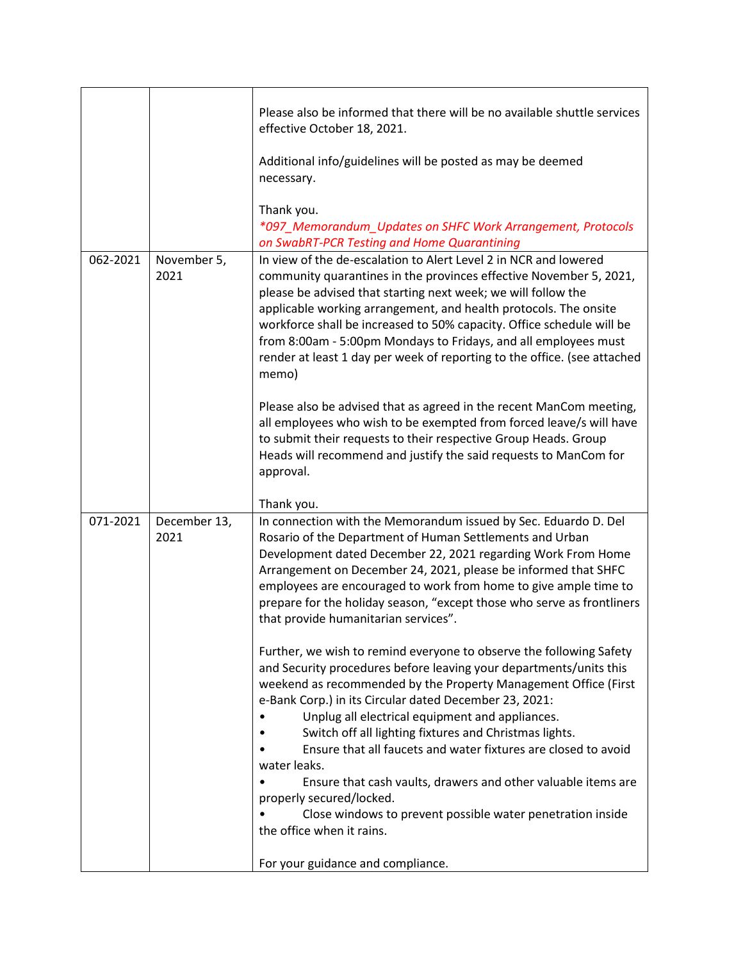|          |                      | Please also be informed that there will be no available shuttle services<br>effective October 18, 2021.                                                                                                                                                                                                                                                                                                                                                                                                                                                            |
|----------|----------------------|--------------------------------------------------------------------------------------------------------------------------------------------------------------------------------------------------------------------------------------------------------------------------------------------------------------------------------------------------------------------------------------------------------------------------------------------------------------------------------------------------------------------------------------------------------------------|
|          |                      | Additional info/guidelines will be posted as may be deemed<br>necessary.                                                                                                                                                                                                                                                                                                                                                                                                                                                                                           |
|          |                      | Thank you.<br>*097_Memorandum_Updates on SHFC Work Arrangement, Protocols<br>on SwabRT-PCR Testing and Home Quarantining                                                                                                                                                                                                                                                                                                                                                                                                                                           |
| 062-2021 | November 5,<br>2021  | In view of the de-escalation to Alert Level 2 in NCR and lowered<br>community quarantines in the provinces effective November 5, 2021,<br>please be advised that starting next week; we will follow the<br>applicable working arrangement, and health protocols. The onsite<br>workforce shall be increased to 50% capacity. Office schedule will be<br>from 8:00am - 5:00pm Mondays to Fridays, and all employees must<br>render at least 1 day per week of reporting to the office. (see attached<br>memo)                                                       |
|          |                      | Please also be advised that as agreed in the recent ManCom meeting,<br>all employees who wish to be exempted from forced leave/s will have<br>to submit their requests to their respective Group Heads. Group<br>Heads will recommend and justify the said requests to ManCom for<br>approval.                                                                                                                                                                                                                                                                     |
|          |                      | Thank you.                                                                                                                                                                                                                                                                                                                                                                                                                                                                                                                                                         |
| 071-2021 | December 13,<br>2021 | In connection with the Memorandum issued by Sec. Eduardo D. Del<br>Rosario of the Department of Human Settlements and Urban<br>Development dated December 22, 2021 regarding Work From Home<br>Arrangement on December 24, 2021, please be informed that SHFC<br>employees are encouraged to work from home to give ample time to<br>prepare for the holiday season, "except those who serve as frontliners<br>that provide humanitarian services".                                                                                                                |
|          |                      | Further, we wish to remind everyone to observe the following Safety<br>and Security procedures before leaving your departments/units this<br>weekend as recommended by the Property Management Office (First<br>e-Bank Corp.) in its Circular dated December 23, 2021:<br>Unplug all electrical equipment and appliances.<br>Switch off all lighting fixtures and Christmas lights.<br>Ensure that all faucets and water fixtures are closed to avoid<br>water leaks.<br>Ensure that cash vaults, drawers and other valuable items are<br>properly secured/locked. |
|          |                      | Close windows to prevent possible water penetration inside<br>the office when it rains.                                                                                                                                                                                                                                                                                                                                                                                                                                                                            |
|          |                      | For your guidance and compliance.                                                                                                                                                                                                                                                                                                                                                                                                                                                                                                                                  |